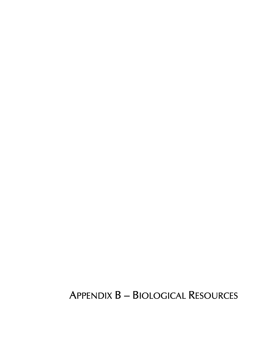# **APPENDIX B - BIOLOGICAL RESOURCES**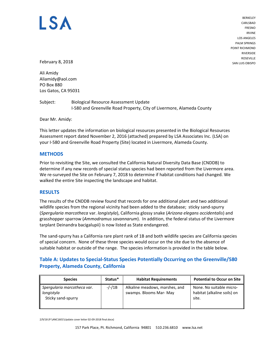# LS A

BERKELEY CARLSBAD FRESNO IRVINE LOS ANGELES PALM SPRINGS POINT RICHMOND RIVERSIDE ROSEVILLE SAN LUIS OBISPO

February 8, 2018

Ali Amidy Aliamidy@aol.com PO Box 880 Los Gatos, CA 95031

Subject: Biological Resource Assessment Update I‐580 and Greenville Road Property, City of Livermore, Alameda County

Dear Mr. Amidy:

This letter updates the information on biological resources presented in the Biological Resources Assessment report dated November 2, 2016 (attached) prepared by LSA Associates Inc. (LSA) on your I‐580 and Greenville Road Property (Site) located in Livermore, Alameda County.

#### **METHODS**

Prior to revisiting the Site, we consulted the California Natural Diversity Data Base (CNDDB) to determine if any new records of special status species had been reported from the Livermore area. We re-surveyed the Site on February 7, 2018 to determine if habitat conditions had changed. We walked the entire Site inspecting the landscape and habitat.

#### **RESULTS**

The results of the CNDDB review found that records for one additional plant and two additional wildlife species from the regional vicinity had been added to the database; sticky sand‐spurry (*Spergularia marcotheca* var. *longistyla*), California glossy snake (*Arizona elegans occidentalis*) and grasshopper sparrow (*Ammodramus savannarum*). In addition, the federal status of the Livermore tarplant Deinandra bacigalupii) is now listed as State endangered.

The sand‐spurry has a California rare plant rank of 1B and both wildlife species are California species of special concern. None of these three species would occur on the site due to the absence of suitable habitat or outside of the range. The species information is provided in the table below.

### **Table A: Updates to Special‐Status Species Potentially Occurring on the Greenville/580 Property, Alameda County, California**

| <b>Species</b>                                                  | Status*  | <b>Habitat Requirements</b>                               | <b>Potential to Occur on Site</b>                                |
|-----------------------------------------------------------------|----------|-----------------------------------------------------------|------------------------------------------------------------------|
| Spergularia marcotheca var.<br>longistyla<br>Sticky sand-spurry | $-/-/1B$ | Alkaline meadows, marshes, and<br>swamps. Blooms Mar- May | None. No suitable micro-<br>habitat (alkaline soils) on<br>site. |

2/9/18 (P:\ANC1601\Update cover letter 02‐09‐2018 final.docx)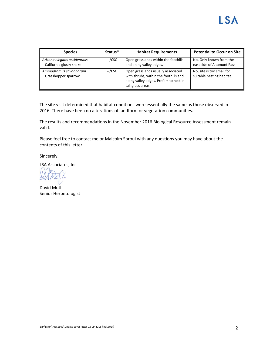| <b>Species</b>                                          | Status* | <b>Habitat Requirements</b>                                                                                                                | <b>Potential to Occur on Site</b>                      |
|---------------------------------------------------------|---------|--------------------------------------------------------------------------------------------------------------------------------------------|--------------------------------------------------------|
| Arizona elegans occidentalis<br>California glossy snake | --/CSC  | Open grasslands within the foothills<br>and along valley edges.                                                                            | No. Only known from the<br>east side of Altamont Pass  |
| Ammodramus savannarum<br>Grasshopper sparrow            | --/CSC  | Open grasslands usually associated<br>with shrubs, within the foothills and<br>along valley edges. Prefers to nest in<br>tall grass areas. | No, site is too small for<br>suitable nesting habitat. |

The site visit determined that habitat conditions were essentially the same as those observed in 2016. There have been no alterations of landform or vegetation communities.

The results and recommendations in the November 2016 Biological Resource Assessment remain valid.

Please feel free to contact me or Malcolm Sproul with any questions you may have about the contents of this letter.

Sincerely,

LSA Associates, Inc.

David Muth Senior Herpetologist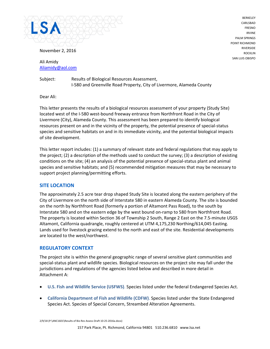

November 2, 2016

Ali Amidy Aliamidy@aol.com

Subject: Results of Biological Resources Assessment, I‐580 and Greenville Road Property, City of Livermore, Alameda County

Dear Ali:

This letter presents the results of a biological resources assessment of your property (Study Site) located west of the I‐580 west‐bound freeway entrance from Northfront Road in the City of Livermore (City), Alameda County. This assessment has been prepared to identify biological resources present on and in the vicinity of the property, the potential presence of special-status species and sensitive habitats on and in its immediate vicinity, and the potential biological impacts of site development.

This letter report includes: (1) a summary of relevant state and federal regulations that may apply to the project; (2) a description of the methods used to conduct the survey; (3) a description of existing conditions on the site; (4) an analysis of the potential presence of special‐status plant and animal species and sensitive habitats; and (5) recommended mitigation measures that may be necessary to support project planning/permitting efforts.

#### **SITE LOCATION**

The approximately 2.5 acre tear drop shaped Study Site is located along the eastern periphery of the City of Livermore on the north side of Interstate 580 in eastern Alameda County. The site is bounded on the north by Northfront Road (formerly a portion of Altamont Pass Road), to the south by Interstate 580 and on the eastern edge by the west bound on‐ramp to 580 from Northfront Road. The property is located within Section 36 of Township 2 South, Range 2 East on the 7.5‐minute USGS Altamont, California quadrangle, roughly centered at UTM 4,175,230 Northing/614,045 Easting. Lands used for livestock grazing extend to the north and east of the site. Residential developments are located to the west/northwest.

#### **REGULATORY CONTEXT**

The project site is within the general geographic range of several sensitive plant communities and special‐status plant and wildlife species. Biological resources on the project site may fall under the jurisdictions and regulations of the agencies listed below and described in more detail in Attachment A:

- **U.S. Fish and Wildlife Service (USFWS)**. Species listed under the federal Endangered Species Act.
- **California Department of Fish and Wildlife (CDFW)**. Species listed under the State Endangered Species Act. Species of Special Concern, Streambed Alteration Agreements.

2/9/18 (P:\ANC1601\Results of Bio Res Assess Draft 10‐25‐2016a.docx)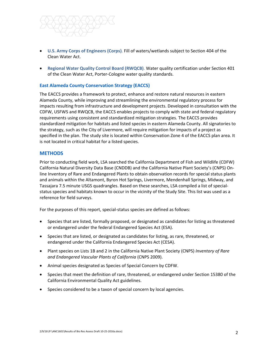

- **U.S. Army Corps of Engineers (Corps)**. Fill of waters/wetlands subject to Section 404 of the Clean Water Act.
- **Regional Water Quality Control Board (RWQCB)**. Water quality certification under Section 401 of the Clean Water Act, Porter‐Cologne water quality standards.

#### **East Alameda County Conservation Strategy (EACCS)**

The EACCS provides a framework to protect, enhance and restore natural resources in eastern Alameda County, while improving and streamlining the environmental regulatory process for impacts resulting from infrastructure and development projects. Developed in consultation with the CDFW, USFWS and RWQCB, the EACCS enables projects to comply with state and federal regulatory requirements using consistent and standardized mitigation strategies. The EACCS provides standardized mitigation for habitats and listed species in eastern Alameda County. All signatories to the strategy, such as the City of Livermore, will require mitigation for impacts of a project as specified in the plan. The study site is located within Conservation Zone 4 of the EACCS plan area. It is not located in critical habitat for a listed species.

#### **METHODS**

Prior to conducting field work, LSA searched the California Department of Fish and Wildlife (CDFW) California Natural Diversity Data Base (CNDDB) and the California Native Plant Society's (CNPS) On‐ line Inventory of Rare and Endangered Plants to obtain observation records for special status plants and animals within the Altamont, Byron Hot Springs, Livermore, Mendenhall Springs, Midway, and Tassajara 7.5 minute USGS quadrangles. Based on these searches, LSA compiled a list of special‐ status species and habitats known to occur in the vicinity of the Study Site. This list was used as a reference for field surveys.

For the purposes of this report, special-status species are defined as follows:

- Species that are listed, formally proposed, or designated as candidates for listing as threatened or endangered under the federal Endangered Species Act (ESA).
- Species that are listed, or designated as candidates for listing, as rare, threatened, or endangered under the California Endangered Species Act (CESA).
- Plant species on Lists 1B and 2 in the California Native Plant Society (CNPS) *Inventory of Rare and Endangered Vascular Plants of California* (CNPS 2009).
- Animal species designated as Species of Special Concern by CDFW.
- Species that meet the definition of rare, threatened, or endangered under Section 15380 of the California Environmental Quality Act guidelines.
- Species considered to be a taxon of special concern by local agencies.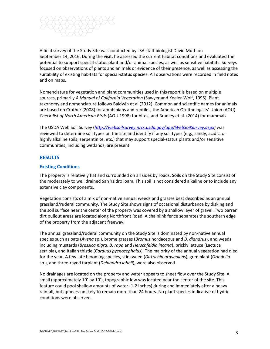

A field survey of the Study Site was conducted by LSA staff biologist David Muth on September 14, 2016. During the visit, he assessed the current habitat conditions and evaluated the potential to support special‐status plant and/or animal species, as well as sensitive habitats. Surveys focused on observations of plants and animals or evidence of their presence, as well as assessing the suitability of existing habitats for special‐status species. All observations were recorded in field notes and on maps.

Nomenclature for vegetation and plant communities used in this report is based on multiple sources, primarily *A Manual of California Vegetation* (Sawyer and Keeler‐Wolf, 1995). Plant taxonomy and nomenclature follows Baldwin et al (2012). Common and scientific names for animals are based on Crother (2008) for amphibians and reptiles, the American Ornithologists' Union (AOU) *Check‐list of North American Birds* (AOU 1998) for birds, and Bradley et al. (2014) for mammals.

The USDA Web Soil Survey (*http://websoilsurvey.nrcs.usda.gov/app/WebSoilSurvey.aspx)* was reviewed to determine soil types on the site and identify if any soil types (e.g., sandy, acidic, or highly alkaline soils; serpentinite, etc*.*) that may support special‐status plants and/or sensitive communities, including wetlands, are present.

#### **RESULTS**

#### **Existing Conditions**

The property is relatively flat and surrounded on all sides by roads. Soils on the Study Site consist of the moderately to well drained San Ysidro loam. This soil is not considered alkaline or to include any extensive clay components.

Vegetation consists of a mix of non‐native annual weeds and grasses best described as an annual grassland/ruderal community. The Study Site shows signs of occasional disturbance by disking and the soil surface near the center of the property was covered by a shallow layer of gravel. Two barren dirt pullout areas are located along Northfront Road. A chainlink fence separates the southern edge of the property from the adjacent freeway.

The annual grassland/ruderal community on the Study Site is dominated by non‐native annual species such as oats (*Avena* sp.), brome grasses (*Bromus* hordaceous and *B. diandrus*), and weeds including mustards (*Brassica nigra*, *B. rapa* and *Herschfeldia incana*), prickly lettuce (Lactuca serriola), and Italian thistle (*Carduus pycnocephalus*). The majority of the annual vegetation had died for the year. A few late blooming species, stinkweed (*Dittrichia graveolens*), gum plant (*Grindelia* sp.), and three‐rayed tarplant (*Deinandra lobbii*), were also observed.

No drainages are located on the property and water appears to sheet flow over the Study Site. A small (approximately 10' by 10'), topographic low was located near the center of the site. This feature could pool shallow amounts of water (1‐2 inches) during and immediately after a heavy rainfall, but appears unlikely to remain more than 24 hours. No plant species indicative of hydric conditions were observed.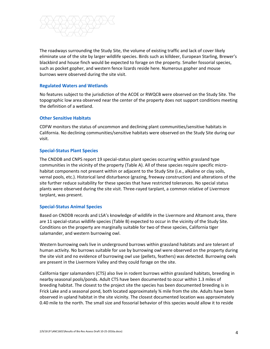

The roadways surrounding the Study Site, the volume of existing traffic and lack of cover likely eliminate use of the site by larger wildlife species. Birds such as killdeer, European Starling, Brewer's blackbird and house finch would be expected to forage on the property. Smaller fossorial species, such as pocket gopher, and western fence lizards reside here. Numerous gopher and mouse burrows were observed during the site visit.

#### **Regulated Waters and Wetlands**

No features subject to the jurisdiction of the ACOE or RWQCB were observed on the Study Site. The topographic low area observed near the center of the property does not support conditions meeting the definition of a wetland.

#### **Other Sensitive Habitats**

CDFW monitors the status of uncommon and declining plant communities/sensitive habitats in California. No declining communities/sensitive habitats were observed on the Study Site during our visit.

#### **Special‐Status Plant Species**

The CNDDB and CNPS report 19 special‐status plant species occurring within grassland type communities in the vicinity of the property (Table A). All of these species require specific micro‐ habitat components not present within or adjacent to the Study Site (i.e., alkaline or clay soils, vernal pools, etc.). Historical land disturbance (grazing, freeway construction) and alterations of the site further reduce suitability for these species that have restricted tolerances. No special status plants were observed during the site visit. Three‐rayed tarplant, a common relative of Livermore tarplant, was present.

#### **Special‐Status Animal Species**

Based on CNDDB records and LSA's knowledge of wildlife in the Livermore and Altamont area, there are 11 special‐status wildlife species (Table B) expected to occur in the vicinity of the Study Site. Conditions on the property are marginally suitable for two of these species, California tiger salamander, and western burrowing owl.

Western burrowing owls live in underground burrows within grassland habitats and are tolerant of human activity. No burrows suitable for use by burrowing owl were observed on the property during the site visit and no evidence of burrowing owl use (pellets, feathers) was detected. Burrowing owls are present in the Livermore Valley and they could forage on the site.

California tiger salamanders (CTS) also live in rodent burrows within grassland habitats, breeding in nearby seasonal pools/ponds. Adult CTS have been documented to occur within 1.3 miles of breeding habitat. The closest to the project site the species has been documented breeding is in Frick Lake and a seasonal pond, both located approximately ¾ mile from the site. Adults have been observed in upland habitat in the site vicinity. The closest documented location was approximately 0.40 mile to the north. The small size and fossorial behavior of this species would allow it to reside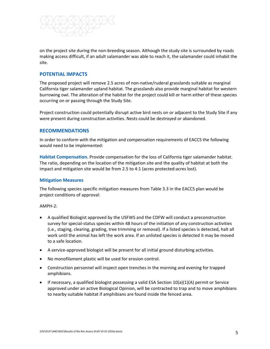

on the project site during the non‐breeding season. Although the study site is surrounded by roads making access difficult, if an adult salamander was able to reach it, the salamander could inhabit the site.

#### **POTENTIAL IMPACTS**

The proposed project will remove 2.5 acres of non‐native/ruderal grasslands suitable as marginal California tiger salamander upland habitat. The grasslands also provide marginal habitat for western burrowing owl. The alteration of the habitat for the project could kill or harm either of these species occurring on or passing through the Study Site.

Project construction could potentially disrupt active bird nests on or adjacent to the Study Site if any were present during construction activities. Nests could be destroyed or abandoned.

#### **RECOMMENDATIONS**

In order to conform with the mitigation and compensation requirements of EACCS the following would need to be implemented:

**Habitat Compensation.** Provide compensation for the loss of California tiger salamander habitat. The ratio, depending on the location of the mitigation site and the quality of habitat at both the impact and mitigation site would be from 2.5 to 4:1 (acres protected:acres lost).

#### **Mitigation Measures**

The following species specific mitigation measures from Table 3.3 in the EACCS plan would be project conditions of approval:

AMPH‐2:

- A qualified Biologist approved by the USFWS and the CDFW will conduct a preconstruction survey for special-status species within 48 hours of the initiation of any construction activities (i.e., staging, clearing, grading, tree trimming or removal). If a listed species is detected, halt all work until the animal has left the work area. If an unlisted species is detected it may be moved to a safe location.
- A service‐approved biologist will be present for all initial ground disturbing activities.
- No monofilament plastic will be used for erosion control.
- Construction personnel will inspect open trenches in the morning and evening for trapped amphibians.
- **If necessary, a qualified biologist possessing a valid ESA Section**  $10(a)(1)(A)$  **permit or Service** approved under an active Biological Opinion, will be contracted to trap and to move amphibians to nearby suitable habitat if amphibians are found inside the fenced area.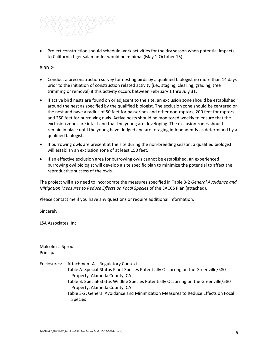

• Project construction should schedule work activities for the dry season when potential impacts to California tiger salamander would be minimal (May 1‐October 15).

BIRD‐2:

- Conduct a preconstruction survey for nesting birds by a qualified biologist no more than 14 days prior to the initiation of construction related activity (i.e., staging, clearing, grading, tree trimming or removal) if this activity occurs between February 1 thru July 31.
- If active bird nests are found on or adjacent to the site, an exclusion zone should be established around the nest as specified by the qualified biologist. The exclusion zone should be centered on the nest and have a radius of 50 feet for passerines and other non‐raptors, 200 feet for raptors and 250 feet for burrowing owls. Active nests should be monitored weekly to ensure that the exclusion zones are intact and that the young are developing. The exclusion zones should remain in place until the young have fledged and are foraging independently as determined by a qualified biologist.
- If burrowing owls are present at the site during the non-breeding season, a qualified biologist will establish an exclusion zone of at least 150 feet.
- If an effective exclusion area for burrowing owls cannot be established, an experienced burrowing owl biologist will develop a site specific plan to minimize the potential to affect the reproductive success of the owls.

The project will also need to incorporate the measures specified in Table 3‐2 *General Avoidance and Mitigation Measures to Reduce Effects on Focal Species* of the EACCS Plan (attached).

Please contact me if you have any questions or require additional information.

Sincerely,

LSA Associates, Inc.

Malcolm J. Sproul Principal

Enclosures: Attachment A – Regulatory Context Table A: Special‐Status Plant Species Potentially Occurring on the Greenville/580 Property, Alameda County, CA Table B: Special‐Status Wildlife Species Potentially Occurring on the Greenville/580 Property, Alameda County, CA Table 3‐2: General Avoidance and Minimization Measures to Reduce Effects on Focal **Species**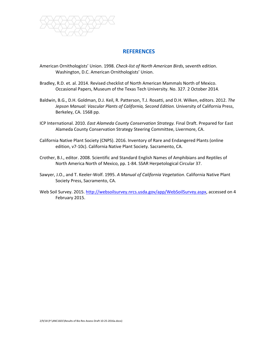![](_page_10_Picture_0.jpeg)

## **REFERENCES**

- American Ornithologists' Union. 1998. *Check‐list of North American Birds*, seventh edition. Washington, D.C. American Ornithologists' Union.
- Bradley, R.D. et. al. 2014. Revised checklist of North American Mammals North of Mexico. Occasional Papers, Museum of the Texas Tech University. No. 327. 2 October 2014.
- Baldwin, B.G., D.H. Goldman, D.J. Keil, R. Patterson, T.J. Rosatti, and D.H. Wilken, editors. 2012. *The Jepson Manual: Vascular Plants of California, Second Edition.* University of California Press, Berkeley, CA. 1568 pp.
- ICP International. 2010. *East Alameda County Conservation Strategy.* Final Draft. Prepared for East Alameda County Conservation Strategy Steering Committee, Livermore, CA.
- California Native Plant Society (CNPS). 2016. Inventory of Rare and Endangered Plants (online edition, v7‐10c). California Native Plant Society. Sacramento, CA.
- Crother, B.I., editor. 2008. Scientific and Standard English Names of Amphibians and Reptiles of North America North of Mexico, pp. 1‐84. SSAR Herpetological Circular 37.
- Sawyer, J.O., and T. Keeler‐Wolf. 1995. *A Manual of California Vegetation*. California Native Plant Society Press, Sacramento, CA.
- Web Soil Survey. 2015. http://websoilsurvey.nrcs.usda.gov/app/WebSoilSurvey.aspx, accessed on 4 February 2015.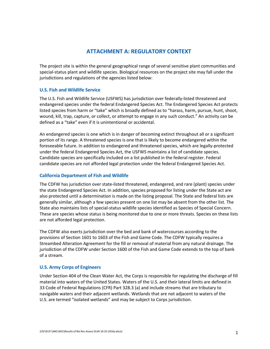# **ATTACHMENT A: REGULATORY CONTEXT**

The project site is within the general geographical range of several sensitive plant communities and special‐status plant and wildlife species. Biological resources on the project site may fall under the jurisdictions and regulations of the agencies listed below:

#### **U.S. Fish and Wildlife Service**

The U.S. Fish and Wildlife Service (USFWS) has jurisdiction over federally‐listed threatened and endangered species under the federal Endangered Species Act. The Endangered Species Act protects listed species from harm or "take" which is broadly defined as to "harass, harm, pursue, hunt, shoot, wound, kill, trap, capture, or collect, or attempt to engage in any such conduct." An activity can be defined as a "take" even if it is unintentional or accidental.

An endangered species is one which is in danger of becoming extinct throughout all or a significant portion of its range. A threatened species is one that is likely to become endangered within the foreseeable future. In addition to endangered and threatened species, which are legally‐protected under the federal Endangered Species Act, the USFWS maintains a list of candidate species. Candidate species are specifically included on a list published in the federal register. Federal candidate species are not afforded legal protection under the federal Endangered Species Act.

#### **California Department of Fish and Wildlife**

The CDFW has jurisdiction over state‐listed threatened, endangered, and rare (plant) species under the state Endangered Species Act. In addition, species proposed for listing under the State act are also protected until a determination is made on the listing proposal. The State and federal lists are generally similar, although a few species present on one list may be absent from the other list. The State also maintains lists of special‐status wildlife species identified as Species of Special Concern. These are species whose status is being monitored due to one or more threats. Species on these lists are not afforded legal protection.

The CDFW also exerts jurisdiction over the bed and bank of watercourses according to the provisions of Section 1601 to 1603 of the Fish and Game Code. The CDFW typically requires a Streambed Alteration Agreement for the fill or removal of material from any natural drainage. The jurisdiction of the CDFW under Section 1600 of the Fish and Game Code extends to the top of bank of a stream.

#### **U.S. Army Corps of Engineers**

Under Section 404 of the Clean Water Act, the Corps is responsible for regulating the discharge of fill material into waters of the United States. Waters of the U.S. and their lateral limits are defined in 33 Code of Federal Regulations (CFR) Part 328.3 (a) and include streams that are tributary to navigable waters and their adjacent wetlands. Wetlands that are not adjacent to waters of the U.S. are termed "isolated wetlands" and may be subject to Corps jurisdiction.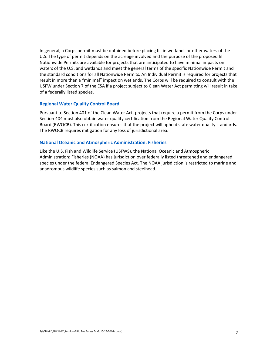In general, a Corps permit must be obtained before placing fill in wetlands or other waters of the U.S. The type of permit depends on the acreage involved and the purpose of the proposed fill. Nationwide Permits are available for projects that are anticipated to have minimal impacts on waters of the U.S. and wetlands and meet the general terms of the specific Nationwide Permit and the standard conditions for all Nationwide Permits. An Individual Permit is required for projects that result in more than a "minimal" impact on wetlands. The Corps will be required to consult with the USFW under Section 7 of the ESA if a project subject to Clean Water Act permitting will result in take of a federally listed species.

#### **Regional Water Quality Control Board**

Pursuant to Section 401 of the Clean Water Act, projects that require a permit from the Corps under Section 404 must also obtain water quality certification from the Regional Water Quality Control Board (RWQCB). This certification ensures that the project will uphold state water quality standards. The RWQCB requires mitigation for any loss of jurisdictional area.

#### **National Oceanic and Atmospheric Administration: Fisheries**

Like the U.S. Fish and Wildlife Service (USFWS), the National Oceanic and Atmospheric Administration: Fisheries (NOAA) has jurisdiction over federally listed threatened and endangered species under the federal Endangered Species Act. The NOAA jurisdiction is restricted to marine and anadromous wildlife species such as salmon and steelhead.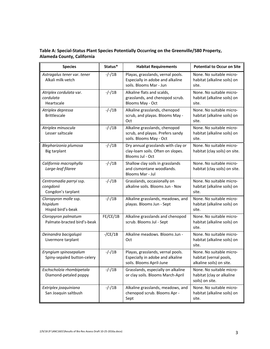| <b>Species</b>                                             | Status*    | <b>Habitat Requirements</b>                                                                       | <b>Potential to Occur on Site</b>                                              |
|------------------------------------------------------------|------------|---------------------------------------------------------------------------------------------------|--------------------------------------------------------------------------------|
| Astragalus tener var. tener<br>Alkali milk-vetch           | $-/-/1B$   | Playas, grasslands, vernal pools.<br>Especially in adobe and alkaline<br>soils. Blooms Mar - Jun  | None. No suitable micro-<br>habitat (alkaline soils) on<br>site.               |
| Atriplex cordulata var.<br>cordulata<br>Heartscale         | $-/-/1B$   | Alkaline flats and scalds,<br>grasslands, and chenopod scrub.<br>Blooms May - Oct                 | None. No suitable micro-<br>habitat (alkaline soils) on<br>site.               |
| Atriplex depressa<br><b>Brittlescale</b>                   | $-/-/1B$   | Alkaline grasslands, chenopod<br>scrub, and playas. Blooms May -<br>Oct                           | None. No suitable micro-<br>habitat (alkaline soils) on<br>site.               |
| Atriplex minuscula<br>Lesser saltscale                     | $-/-/1B$   | Alkaline grasslands, chenopod<br>scrub, and playas. Prefers sandy<br>soils. Blooms May - Oct      | None. No suitable micro-<br>habitat (alkaline soils) on<br>site.               |
| Blepharizonia plumosa<br>Big tarplant                      | $-/-/1B$   | Dry annual grasslands with clay or<br>clay-loam soils. Often on slopes.<br>Blooms Jul - Oct       | None. No suitable micro-<br>habitat (clay soils) on site.                      |
| California macrophylla<br>Large-leaf filaree               | $-/-/1B$   | Shallow clay soils in grasslands<br>and cismontane woodlands.<br>Blooms Mar - Jul                 | None. No suitable micro-<br>habitat (clay soils) on site.                      |
| Centromadia parryi ssp.<br>congdonii<br>Congdon's tarplant | $-/-/1B$   | Grasslands, occasionally on<br>alkaline soils. Blooms Jun - Nov                                   | None. No suitable micro-<br>habitat (alkaline soils) on<br>site.               |
| Cloropyron molle ssp.<br>hispidum<br>Hispid bird's-beak    | $-/-/1B$   | Alkaline grasslands, meadows, and<br>playas. Blooms Jun - Sept                                    | None. No suitable micro-<br>habitat (alkaline soils) on<br>site.               |
| Cloropyron palmatum<br>Palmate-bracted bird's-beak         | FE/CE/1B   | Alkaline grasslands and chenopod<br>scrub. Blooms Jul - Sept                                      | None. No suitable micro-<br>habitat (alkaline soils) on<br>site.               |
| Deinandra bacigalupii<br>Livermore tarplant                | $-(CE/1B)$ | Alkaline meadows. Blooms Jun -<br>Oct                                                             | None. No suitable micro-<br>habitat (alkaline soils) on<br>site.               |
| Eryngium spinosepalum<br>Spiny-sepaled button-celery       | $-/-/1B$   | Playas, grasslands, vernal pools.<br>Especially in adobe and alkaline<br>soils. Blooms April-June | None. No suitable micro-<br>habitat (vernal pools,<br>alkaline soils) on site. |
| Eschscholzia rhombipetala<br>Diamond-petaled poppy         | $-/-/1B$   | Grasslands, especially on alkaline<br>or clay soils. Blooms March-April                           | None. No suitable micro-<br>habitat (clay or alkaline<br>soils) on site.       |
| Extriplex joaquiniana<br>San Joaquin saltbush              | $-/-/1B$   | Alkaline grasslands, meadows, and<br>chenopod scrub. Blooms Apr -<br>Sept                         | None. No suitable micro-<br>habitat (alkaline soils) on<br>site.               |

**Table A: Special‐Status Plant Species Potentially Occurring on the Greenville/580 Property, Alameda County, California**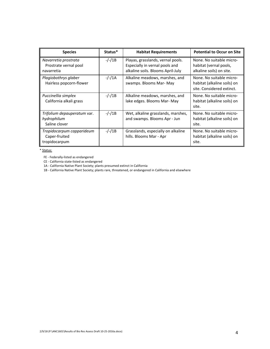| <b>Species</b>                                              | Status*  | <b>Habitat Requirements</b>                                                                              | <b>Potential to Occur on Site</b>                                                    |
|-------------------------------------------------------------|----------|----------------------------------------------------------------------------------------------------------|--------------------------------------------------------------------------------------|
| Navarretia prostrata<br>Prostrate vernal pool<br>navarretia | $-/-/1B$ | Playas, grasslands, vernal pools.<br>Especially in vernal pools and<br>alkaline soils. Blooms April-July | None. No suitable micro-<br>habitat (vernal pools,<br>alkaline soils) on site.       |
| Plagiobothrys glaber<br>Hairless popcorn-flower             | $-/-/1A$ | Alkaline meadows, marshes, and<br>swamps. Blooms Mar- May                                                | None. No suitable micro-<br>habitat (alkaline soils) on<br>site. Considered extinct. |
| Puccinellia simplex<br>California alkali grass              | $-/-/1B$ | Alkaline meadows, marshes, and<br>lake edges. Blooms Mar- May                                            | None. No suitable micro-<br>habitat (alkaline soils) on<br>site.                     |
| Trifolium depauperatum var.<br>hydrophilum<br>Saline clover | $-/-/1B$ | Wet, alkaline grasslands, marshes,<br>and swamps. Blooms Apr - Jun                                       | None. No suitable micro-<br>habitat (alkaline soils) on<br>site.                     |
| Tropidocarpum capparideum<br>Caper-fruited<br>tropidocarpum | $-/-/1B$ | Grasslands, especially on alkaline<br>hills. Blooms Mar - Apr                                            | None. No suitable micro-<br>habitat (alkaline soils) on<br>site.                     |

\* Status:

FE ‐ Federally‐listed as endangered

CE ‐ California state‐listed as endangered

1A ‐ California Native Plant Society; plants presumed extinct in California

1B - California Native Plant Society; plants rare, threatened, or endangered in California and elsewhere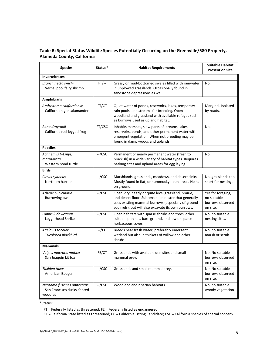#### **Table B: Special‐Status Wildlife Species Potentially Occurring on the Greenville/580 Property, Alameda County, California**

| <b>Species</b>                                                      | Status*  | <b>Habitat Requirements</b>                                                                                                                                                                                               | <b>Suitable Habitat</b><br><b>Present on Site</b>                |
|---------------------------------------------------------------------|----------|---------------------------------------------------------------------------------------------------------------------------------------------------------------------------------------------------------------------------|------------------------------------------------------------------|
| <b>Invertebrates</b>                                                |          |                                                                                                                                                                                                                           |                                                                  |
| Branchinecta lynchi<br>Vernal pool fairy shrimp                     | $FT$ --  | Grassy or mud-bottomed swales filled with rainwater<br>in unplowed grasslands. Occasionally found in<br>sandstone depressions as well.                                                                                    | No.                                                              |
| <b>Amphibians</b>                                                   |          |                                                                                                                                                                                                                           |                                                                  |
| Ambystoma californiense<br>California tiger salamander              | FT/CT    | Quiet water of ponds, reservoirs, lakes, temporary<br>rain pools, and streams for breeding. Open<br>woodland and grassland with available refuges such<br>as burrows used as upland habitat.                              | Marginal. Isolated<br>by roads.                                  |
| Rana draytonii<br>California red-legged frog                        | FT/CSC   | Inhabits marshes, slow parts of streams, lakes,<br>reservoirs, ponds, and other permanent water with<br>emergent vegetation. When not breeding may be<br>found in damp woods and uplands.                                 | No.                                                              |
| <b>Reptiles</b>                                                     |          |                                                                                                                                                                                                                           |                                                                  |
| Actinemys (=Emys)<br>marmorata<br>Western pond turtle               | $-$ /CSC | Permanent or nearly permanent water (fresh to<br>brackish) in a wide variety of habitat types. Requires<br>basking sites and upland areas for egg laying.                                                                 | No.                                                              |
| <b>Birds</b>                                                        |          |                                                                                                                                                                                                                           |                                                                  |
| Circus cyaneus<br>Northern harrier                                  | $-$ /CSC | Marshlands, grasslands, meadows, and desert sinks.<br>Mostly found in flat, or hummocky open areas. Nests<br>on ground.                                                                                                   | No, grasslands too<br>short for nesting.                         |
| Athene cunicularia<br><b>Burrowing owl</b>                          | $-$ /CSC | Open, dry, nearly or quite level grassland, prairie,<br>and desert floor. Subterranean nester that generally<br>uses existing mammal burrows (especially of ground<br>squirrels), but will also excavate its own burrows. | Yes for foraging,<br>no suitable<br>burrows observed<br>on site. |
| Lanius ludovicianus<br>Loggerhead Shrike                            | $-$ /CSC | Open habitats with sparse shrubs and trees, other<br>suitable perches, bare ground, and low or sparse<br>herbaceous cover.                                                                                                | No, no suitable<br>nesting sites.                                |
| Agelaius tricolor<br><b>Tricolored blackbird</b>                    | $-$ /CC  | Breeds near fresh water, preferably emergent<br>wetland but also in thickets of willow and other<br>shrubs.                                                                                                               | No, no suitable<br>marsh or scrub.                               |
| <b>Mammals</b>                                                      |          |                                                                                                                                                                                                                           |                                                                  |
| Vulpes macrotis mutica<br>San Joaquin kit fox                       | FE/CT    | Grasslands with available den sites and small<br>mammal prey.                                                                                                                                                             | No. No suitable<br>burrows observed<br>on site.                  |
| Taxidea taxus<br>American Badger                                    | $-$ /CSC | Grasslands and small mammal prey.                                                                                                                                                                                         | No. No suitable<br>burrows observed<br>on site.                  |
| Neotoma fuscipes annectens<br>San Francisco dusky-footed<br>woodrat | $-$ /CSC | Woodland and riparian habitats.                                                                                                                                                                                           | No, no suitable<br>woody vegetation                              |

\*Status:

FT = Federally listed as threatened; FE = Federally listed as endangered;

CT = California State listed as threatened; CC = California Listing Candidate; CSC = California species of special concern